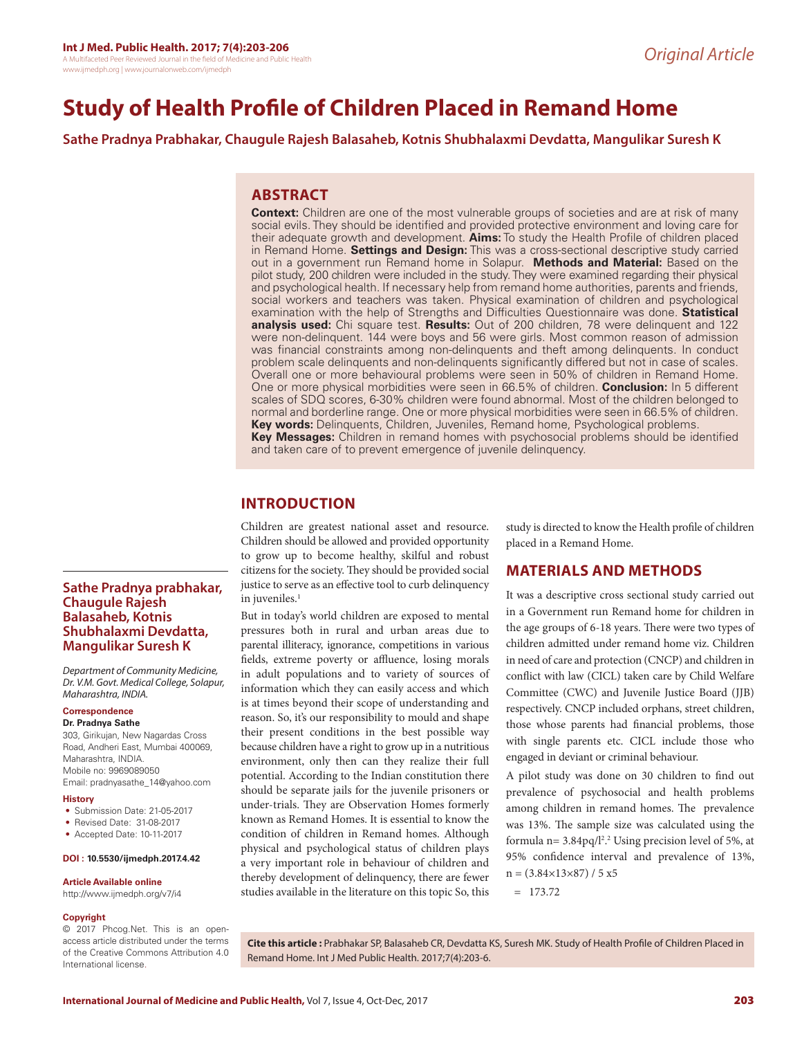www.ijmedph.org | www.journalonweb.com/ijmedph

# **Study of Health Profile of Children Placed in Remand Home**

**Sathe Pradnya Prabhakar, Chaugule Rajesh Balasaheb, Kotnis Shubhalaxmi Devdatta, Mangulikar Suresh K**

# **ABSTRACT**

**Context:** Children are one of the most vulnerable groups of societies and are at risk of many social evils. They should be identified and provided protective environment and loving care for their adequate growth and development. **Aims:** To study the Health Profile of children placed in Remand Home. **Settings and Design:** This was a cross-sectional descriptive study carried out in a government run Remand home in Solapur. **Methods and Material:** Based on the pilot study, 200 children were included in the study. They were examined regarding their physical and psychological health. If necessary help from remand home authorities, parents and friends, social workers and teachers was taken. Physical examination of children and psychological examination with the help of Strengths and Difficulties Questionnaire was done. **Statistical analysis used:** Chi square test. **Results:** Out of 200 children, 78 were delinquent and 122 were non-delinquent. 144 were boys and 56 were girls. Most common reason of admission was financial constraints among non-delinquents and theft among delinquents. In conduct problem scale delinquents and non-delinquents significantly differed but not in case of scales. Overall one or more behavioural problems were seen in 50% of children in Remand Home. One or more physical morbidities were seen in 66.5% of children. **Conclusion:** In 5 different scales of SDQ scores, 6-30% children were found abnormal. Most of the children belonged to normal and borderline range. One or more physical morbidities were seen in 66.5% of children. **Key words:** Delinquents, Children, Juveniles, Remand home, Psychological problems. **Key Messages:** Children in remand homes with psychosocial problems should be identified and taken care of to prevent emergence of juvenile delinquency.

# **INTRODUCTION**

Children are greatest national asset and resource. Children should be allowed and provided opportunity to grow up to become healthy, skilful and robust citizens for the society. They should be provided social justice to serve as an effective tool to curb delinquency in juveniles.<sup>1</sup>

But in today's world children are exposed to mental pressures both in rural and urban areas due to parental illiteracy, ignorance, competitions in various fields, extreme poverty or affluence, losing morals in adult populations and to variety of sources of information which they can easily access and which is at times beyond their scope of understanding and reason. So, it's our responsibility to mould and shape their present conditions in the best possible way because children have a right to grow up in a nutritious environment, only then can they realize their full potential. According to the Indian constitution there should be separate jails for the juvenile prisoners or under-trials. They are Observation Homes formerly known as Remand Homes. It is essential to know the condition of children in Remand homes. Although physical and psychological status of children plays a very important role in behaviour of children and thereby development of delinquency, there are fewer studies available in the literature on this topic So, this

study is directed to know the Health profile of children placed in a Remand Home.

## **MATERIALS AND METHODS**

It was a descriptive cross sectional study carried out in a Government run Remand home for children in the age groups of 6-18 years. There were two types of children admitted under remand home viz. Children in need of care and protection (CNCP) and children in conflict with law (CICL) taken care by Child Welfare Committee (CWC) and Juvenile Justice Board (JJB) respectively. CNCP included orphans, street children, those whose parents had financial problems, those with single parents etc. CICL include those who engaged in deviant or criminal behaviour.

A pilot study was done on 30 children to find out prevalence of psychosocial and health problems among children in remand homes. The prevalence was 13%. The sample size was calculated using the formula  $n=3.84$ pq/l<sup>2</sup>.<sup>2</sup> Using precision level of 5%, at 95% confidence interval and prevalence of 13%,  $n = (3.84 \times 13 \times 87) / 5 x 5$ 

 $= 173.72$ 

**Copyright** © 2017 Phcog.Net. This is an open-

**Sathe Pradnya prabhakar,** 

*Department of Community Medicine, Dr. V.M. Govt. Medical College, Solapur,* 

303, Girikujan, New Nagardas Cross Road, Andheri East, Mumbai 400069,

Email: pradnyasathe\_14@yahoo.com

• Submission Date: 21-05-2017 • Revised Date: 31-08-2017 • Accepted Date: 10-11-2017 **DOI : 10.5530/ijmedph.2017.4.42**

**Article Available online**  http://www.ijmedph.org/v7/i4

**Chaugule Rajesh Balasaheb, Kotnis Shubhalaxmi Devdatta, Mangulikar Suresh K**

*Maharashtra, INDIA.* **Correspondence Dr. Pradnya Sathe**

Maharashtra, INDIA. Mobile no: 9969089050

**History**

access article distributed under the terms of the Creative Commons Attribution 4.0 International license.

**Cite this article :** Prabhakar SP, Balasaheb CR, Devdatta KS, Suresh MK. Study of Health Profile of Children Placed in Remand Home. Int J Med Public Health. 2017;7(4):203-6.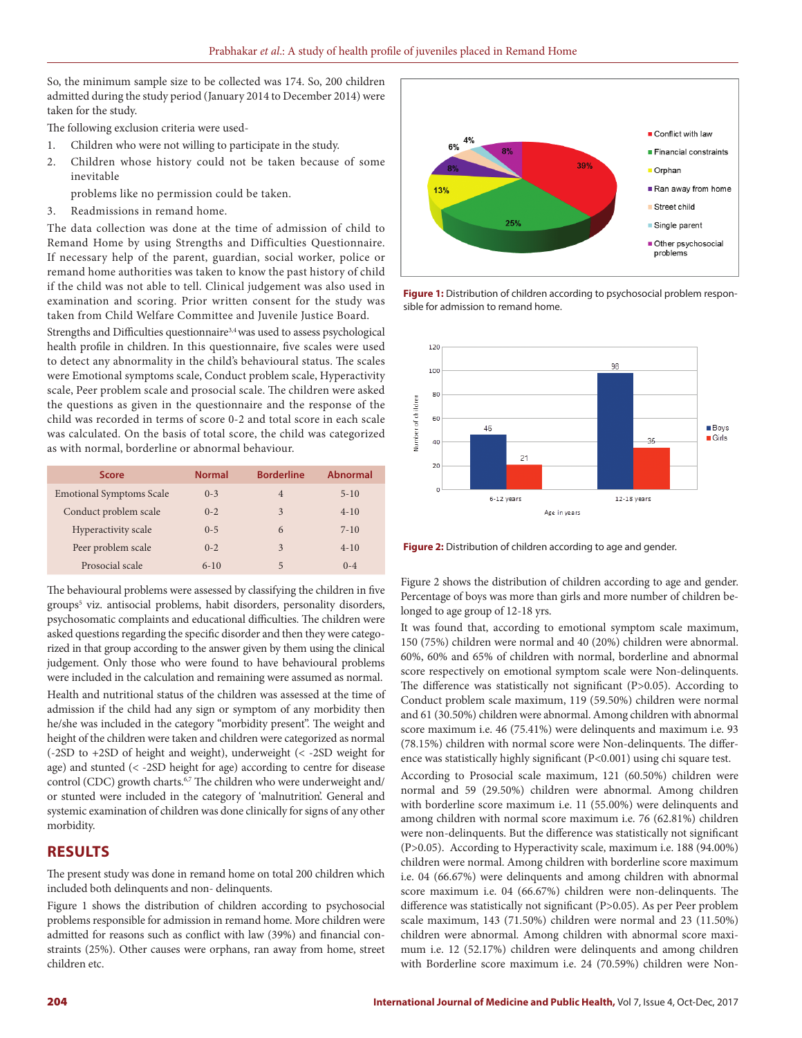So, the minimum sample size to be collected was 174. So, 200 children admitted during the study period (January 2014 to December 2014) were taken for the study.

The following exclusion criteria were used-

- 1. Children who were not willing to participate in the study.
- 2. Children whose history could not be taken because of some inevitable
	- problems like no permission could be taken.
- 3. Readmissions in remand home.

The data collection was done at the time of admission of child to Remand Home by using Strengths and Difficulties Questionnaire. If necessary help of the parent, guardian, social worker, police or remand home authorities was taken to know the past history of child if the child was not able to tell. Clinical judgement was also used in examination and scoring. Prior written consent for the study was taken from Child Welfare Committee and Juvenile Justice Board.

Strengths and Difficulties questionnaire<sup>3,4</sup> was used to assess psychological health profile in children. In this questionnaire, five scales were used to detect any abnormality in the child's behavioural status. The scales were Emotional symptoms scale, Conduct problem scale, Hyperactivity scale, Peer problem scale and prosocial scale. The children were asked the questions as given in the questionnaire and the response of the child was recorded in terms of score 0-2 and total score in each scale was calculated. On the basis of total score, the child was categorized as with normal, borderline or abnormal behaviour.

| <b>Score</b>                    | <b>Normal</b> | <b>Borderline</b> | <b>Abnormal</b> |
|---------------------------------|---------------|-------------------|-----------------|
| <b>Emotional Symptoms Scale</b> | $0 - 3$       | $\overline{4}$    | $5 - 10$        |
| Conduct problem scale           | $0 - 2$       | 3                 | $4 - 10$        |
| Hyperactivity scale             | $0 - 5$       | 6                 | $7 - 10$        |
| Peer problem scale              | $0 - 2$       | 3                 | $4 - 10$        |
| Prosocial scale                 | $6 - 10$      | 5                 | $0 - 4$         |

The behavioural problems were assessed by classifying the children in five groups5 viz. antisocial problems, habit disorders, personality disorders, psychosomatic complaints and educational difficulties. The children were asked questions regarding the specific disorder and then they were categorized in that group according to the answer given by them using the clinical judgement. Only those who were found to have behavioural problems were included in the calculation and remaining were assumed as normal.

Health and nutritional status of the children was assessed at the time of admission if the child had any sign or symptom of any morbidity then he/she was included in the category "morbidity present". The weight and height of the children were taken and children were categorized as normal (-2SD to +2SD of height and weight), underweight (< -2SD weight for age) and stunted (< -2SD height for age) according to centre for disease control (CDC) growth charts.<sup>6,7</sup> The children who were underweight and/ or stunted were included in the category of 'malnutrition'. General and systemic examination of children was done clinically for signs of any other morbidity.

# **RESULTS**

The present study was done in remand home on total 200 children which included both delinquents and non- delinquents.

Figure 1 shows the distribution of children according to psychosocial problems responsible for admission in remand home. More children were admitted for reasons such as conflict with law (39%) and financial constraints (25%). Other causes were orphans, ran away from home, street children etc.



**Figure 1:** Distribution of children according to psychosocial problem responsible for admission to remand home.



**Figure 2:** Distribution of children according to age and gender.

Figure 2 shows the distribution of children according to age and gender. Percentage of boys was more than girls and more number of children belonged to age group of 12-18 yrs.

It was found that, according to emotional symptom scale maximum, 150 (75%) children were normal and 40 (20%) children were abnormal. 60%, 60% and 65% of children with normal, borderline and abnormal score respectively on emotional symptom scale were Non-delinquents. The difference was statistically not significant (P>0.05). According to Conduct problem scale maximum, 119 (59.50%) children were normal and 61 (30.50%) children were abnormal. Among children with abnormal score maximum i.e. 46 (75.41%) were delinquents and maximum i.e. 93 (78.15%) children with normal score were Non-delinquents. The difference was statistically highly significant (P<0.001) using chi square test.

According to Prosocial scale maximum, 121 (60.50%) children were normal and 59 (29.50%) children were abnormal. Among children with borderline score maximum i.e. 11 (55.00%) were delinquents and among children with normal score maximum i.e. 76 (62.81%) children were non-delinquents. But the difference was statistically not significant (P>0.05). According to Hyperactivity scale, maximum i.e. 188 (94.00%) children were normal. Among children with borderline score maximum i.e. 04 (66.67%) were delinquents and among children with abnormal score maximum i.e. 04 (66.67%) children were non-delinquents. The difference was statistically not significant (P>0.05). As per Peer problem scale maximum, 143 (71.50%) children were normal and 23 (11.50%) children were abnormal. Among children with abnormal score maximum i.e. 12 (52.17%) children were delinquents and among children with Borderline score maximum i.e. 24 (70.59%) children were Non-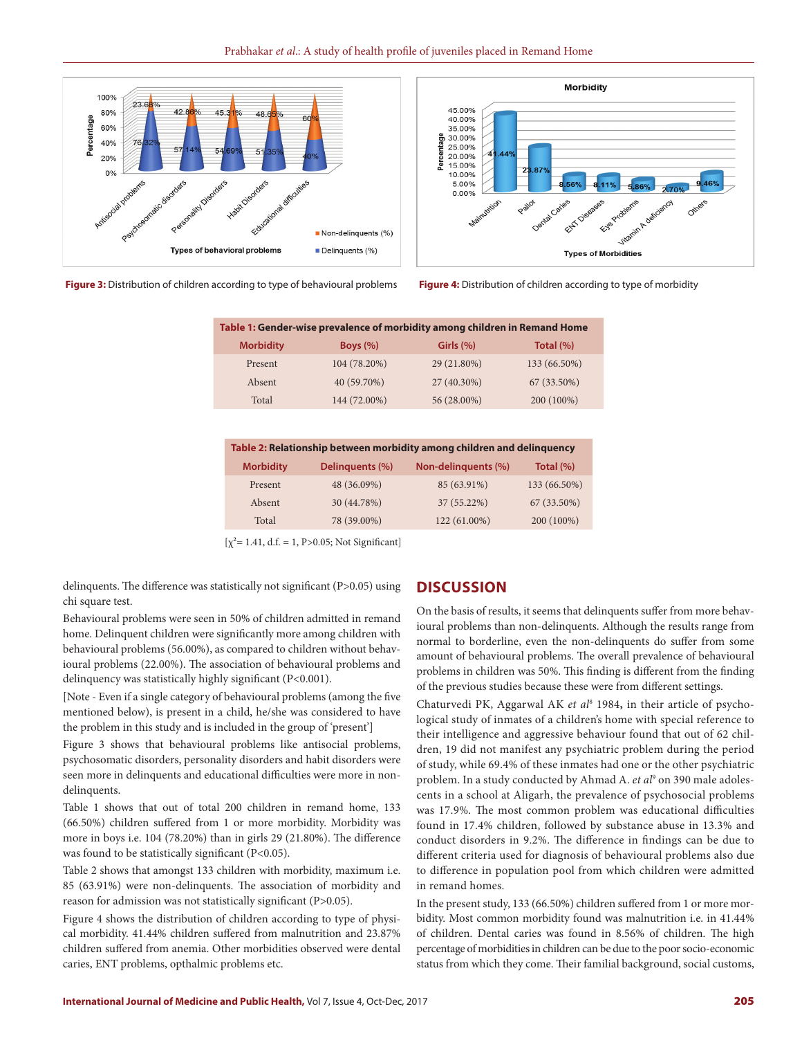





| Table 1: Gender-wise prevalence of morbidity among children in Remand Home |              |              |              |  |  |
|----------------------------------------------------------------------------|--------------|--------------|--------------|--|--|
| <b>Morbidity</b>                                                           | Boys $(\%)$  | Girls $(\%)$ | Total $(\%)$ |  |  |
| Present                                                                    | 104 (78.20%) | 29 (21.80%)  | 133 (66.50%) |  |  |
| Absent                                                                     | 40 (59.70%)  | 27 (40.30%)  | 67 (33.50%)  |  |  |
| Total                                                                      | 144 (72.00%) | 56 (28.00%)  | 200 (100%)   |  |  |

| Table 2: Relationship between morbidity among children and delinguency |                 |                     |              |  |  |
|------------------------------------------------------------------------|-----------------|---------------------|--------------|--|--|
| <b>Morbidity</b>                                                       | Delinguents (%) | Non-delinguents (%) | Total (%)    |  |  |
| Present                                                                | 48 (36.09%)     | 85 (63.91%)         | 133 (66.50%) |  |  |
| Absent                                                                 | 30 (44.78%)     | 37 (55.22%)         | 67 (33.50%)  |  |  |
| Total                                                                  | 78 (39.00%)     | 122 (61.00%)        | 200 (100%)   |  |  |
|                                                                        |                 |                     |              |  |  |

 $[\chi^2=1.41, d.f. = 1, P>0.05; Not Significant]$ 

delinquents. The difference was statistically not significant (P>0.05) using chi square test.

Behavioural problems were seen in 50% of children admitted in remand home. Delinquent children were significantly more among children with behavioural problems (56.00%), as compared to children without behavioural problems (22.00%). The association of behavioural problems and delinquency was statistically highly significant (P<0.001).

[Note - Even if a single category of behavioural problems (among the five mentioned below), is present in a child, he/she was considered to have the problem in this study and is included in the group of 'present']

Figure 3 shows that behavioural problems like antisocial problems, psychosomatic disorders, personality disorders and habit disorders were seen more in delinquents and educational difficulties were more in nondelinquents.

Table 1 shows that out of total 200 children in remand home, 133 (66.50%) children suffered from 1 or more morbidity. Morbidity was more in boys i.e. 104 (78.20%) than in girls 29 (21.80%). The difference was found to be statistically significant (P<0.05).

Table 2 shows that amongst 133 children with morbidity, maximum i.e. 85 (63.91%) were non-delinquents. The association of morbidity and reason for admission was not statistically significant (P>0.05).

Figure 4 shows the distribution of children according to type of physical morbidity. 41.44% children suffered from malnutrition and 23.87% children suffered from anemia. Other morbidities observed were dental caries, ENT problems, opthalmic problems etc.

#### **DISCUSSION**

On the basis of results, it seems that delinquents suffer from more behavioural problems than non-delinquents. Although the results range from normal to borderline, even the non-delinquents do suffer from some amount of behavioural problems. The overall prevalence of behavioural problems in children was 50%. This finding is different from the finding of the previous studies because these were from different settings.

Chaturvedi PK, Aggarwal AK *et al*<sup>8</sup> 1984**,** in their article of psychological study of inmates of a children's home with special reference to their intelligence and aggressive behaviour found that out of 62 children, 19 did not manifest any psychiatric problem during the period of study, while 69.4% of these inmates had one or the other psychiatric problem. In a study conducted by Ahmad A. et al<sup>9</sup> on 390 male adolescents in a school at Aligarh, the prevalence of psychosocial problems was 17.9%. The most common problem was educational difficulties found in 17.4% children, followed by substance abuse in 13.3% and conduct disorders in 9.2%. The difference in findings can be due to different criteria used for diagnosis of behavioural problems also due to difference in population pool from which children were admitted in remand homes.

In the present study, 133 (66.50%) children suffered from 1 or more morbidity. Most common morbidity found was malnutrition i.e. in 41.44% of children. Dental caries was found in 8.56% of children. The high percentage of morbidities in children can be due to the poor socio-economic status from which they come. Their familial background, social customs,